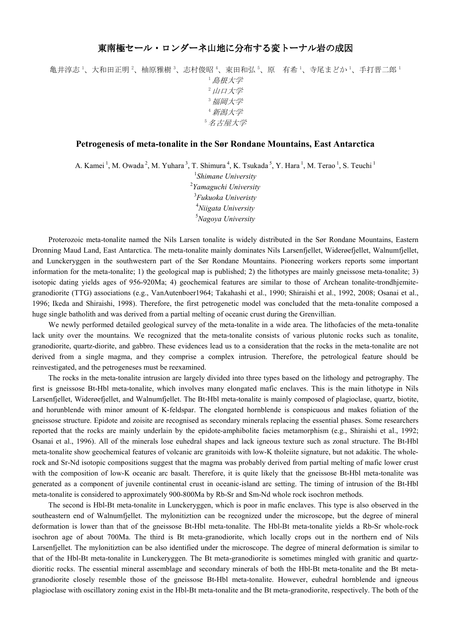亀井淳志 1、大和田正明 2、柚原雅樹 3、志村俊昭 4、束田和弘 5、原 有希 1、寺尾まどか 1、手打晋二郎 1 <sup>1</sup>島根大学  $2$  山口大学 <sup>3</sup>福岡大学 <sup>4</sup>新潟大学 <sup>5</sup>名古屋大学

## **Petrogenesis of meta-tonalite in the Sør Rondane Mountains, East Antarctica**

A. Kamei<sup>1</sup>, M. Owada<sup>2</sup>, M. Yuhara<sup>3</sup>, T. Shimura<sup>4</sup>, K. Tsukada<sup>5</sup>, Y. Hara<sup>1</sup>, M. Terao<sup>1</sup>, S. Teuchi<sup>1</sup>

 *Shimane University Yamaguchi University Fukuoka Univeristy Niigata University Nagoya University*

Proterozoic meta-tonalite named the Nils Larsen tonalite is widely distributed in the Sør Rondane Mountains, Eastern Dronning Maud Land, East Antarctica. The meta-tonalite mainly dominates Nils Larsenfjellet, Widerøefjellet, Walnumfjellet, and Lunckeryggen in the southwestern part of the Sør Rondane Mountains. Pioneering workers reports some important information for the meta-tonalite; 1) the geological map is published; 2) the lithotypes are mainly gneissose meta-tonalite; 3) isotopic dating yields ages of 956-920Ma; 4) geochemical features are similar to those of Archean tonalite-trondhjemitegranodiorite (TTG) associations (e.g., VanAutenboer1964; Takahashi et al., 1990; Shiraishi et al., 1992, 2008; Osanai et al., 1996; Ikeda and Shiraishi, 1998). Therefore, the first petrogenetic model was concluded that the meta-tonalite composed a huge single batholith and was derived from a partial melting of oceanic crust during the Grenvillian.

We newly performed detailed geological survey of the meta-tonalite in a wide area. The lithofacies of the meta-tonalite lack unity over the mountains. We recognized that the meta-tonalite consists of various plutonic rocks such as tonalite, granodiorite, quartz-diorite, and gabbro. These evidences lead us to a consideration that the rocks in the meta-tonalite are not derived from a single magma, and they comprise a complex intrusion. Therefore, the petrological feature should be reinvestigated, and the petrogeneses must be reexamined.

The rocks in the meta-tonalite intrusion are largely divided into three types based on the lithology and petrography. The first is gneissose Bt-Hbl meta-tonalite, which involves many elongated mafic enclaves. This is the main lithotype in Nils Larsenfjellet, Widerøefjellet, and Walnumfjellet. The Bt-Hbl meta-tonalite is mainly composed of plagioclase, quartz, biotite, and horunblende with minor amount of K-feldspar. The elongated hornblende is conspicuous and makes foliation of the gneissose structure. Epidote and zoisite are recognised as secondary minerals replacing the essential phases. Some researchers reported that the rocks are mainly underlain by the epidote-amphibolite facies metamorphism (e.g., Shiraishi et al., 1992; Osanai et al., 1996). All of the minerals lose euhedral shapes and lack igneous texture such as zonal structure. The Bt-Hbl meta-tonalite show geochemical features of volcanic arc granitoids with low-K tholeiite signature, but not adakitic. The wholerock and Sr-Nd isotopic compositions suggest that the magma was probably derived from partial melting of mafic lower crust with the composition of low-K oceanic arc basalt. Therefore, it is quite likely that the gneissose Bt-Hbl meta-tonalite was generated as a component of juvenile continental crust in oceanic-island arc setting. The timing of intrusion of the Bt-Hbl meta-tonalite is considered to approximately 900-800Ma by Rb-Sr and Sm-Nd whole rock isochron methods.

The second is Hbl-Bt meta-tonalite in Lunckeryggen, which is poor in mafic enclaves. This type is also observed in the southeastern end of Walnumfjellet. The mylonitiztion can be recognized under the microscope, but the degree of mineral deformation is lower than that of the gneissose Bt-Hbl meta-tonalite. The Hbl-Bt meta-tonalite yields a Rb-Sr whole-rock isochron age of about 700Ma. The third is Bt meta-granodiorite, which locally crops out in the northern end of Nils Larsenfjellet. The mylonitiztion can be also identified under the microscope. The degree of mineral deformation is similar to that of the Hbl-Bt meta-tonalite in Lunckeryggen. The Bt meta-granodiorite is sometimes mingled with granitic and quartzdioritic rocks. The essential mineral assemblage and secondary minerals of both the Hbl-Bt meta-tonalite and the Bt metagranodiorite closely resemble those of the gneissose Bt-Hbl meta-tonalite. However, euhedral hornblende and igneous plagioclase with oscillatory zoning exist in the Hbl-Bt meta-tonalite and the Bt meta-granodiorite, respectively. The both of the